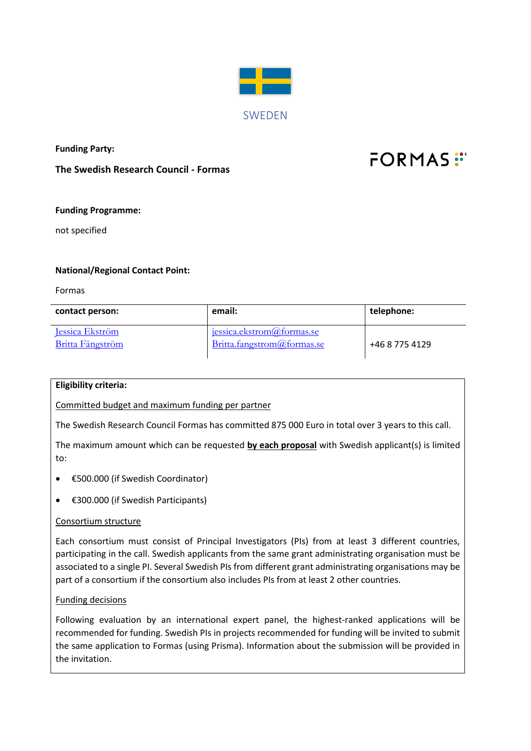

**Funding Party:**

**The Swedish Research Council - Formas**

# $FORMAS$ :

## **Funding Programme:**

not specified

### **National/Regional Contact Point:**

Formas

| contact person:                                   | email:                                                  | telephone:     |
|---------------------------------------------------|---------------------------------------------------------|----------------|
| <b>Jessica Ekström</b><br><b>Britta Fängström</b> | jessica.ekstrom@formas.se<br>Britta.fangstrom@formas.se | +46 8 775 4129 |

#### **Eligibility criteria:**

Committed budget and maximum funding per partner

The Swedish Research Council Formas has committed 875 000 Euro in total over 3 years to this call.

The maximum amount which can be requested **by each proposal** with Swedish applicant(s) is limited to:

- €500.000 (if Swedish Coordinator)
- €300.000 (if Swedish Participants)

#### Consortium structure

Each consortium must consist of Principal Investigators (PIs) from at least 3 different countries, participating in the call. Swedish applicants from the same grant administrating organisation must be associated to a single PI. Several Swedish PIs from different grant administrating organisations may be part of a consortium if the consortium also includes PIs from at least 2 other countries.

#### Funding decisions

Following evaluation by an international expert panel, the highest-ranked applications will be recommended for funding. Swedish PIs in projects recommended for funding will be invited to submit the same application to Formas (using Prisma). Information about the submission will be provided in the invitation.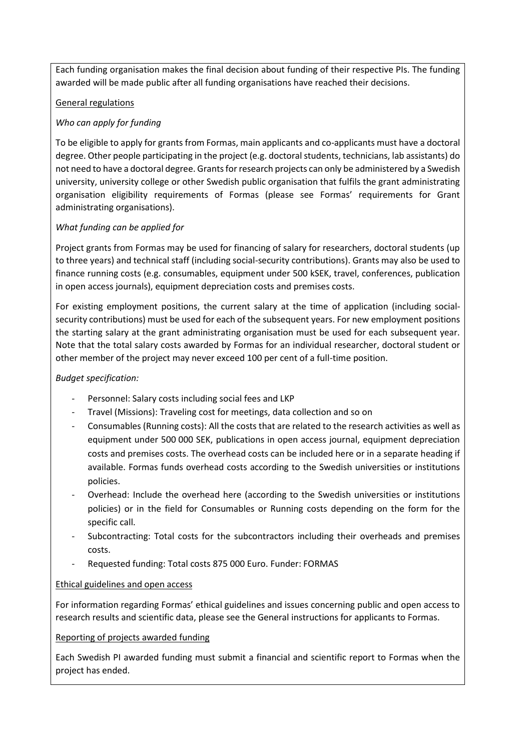Each funding organisation makes the final decision about funding of their respective PIs. The funding awarded will be made public after all funding organisations have reached their decisions.

# General regulations

# *Who can apply for funding*

To be eligible to apply for grants from Formas, main applicants and co-applicants must have a doctoral degree. Other people participating in the project (e.g. doctoral students, technicians, lab assistants) do not need to have a doctoral degree. Grants for research projects can only be administered by a Swedish university, university college or other Swedish public organisation that fulfils the grant administrating organisation eligibility requirements of Formas (please see Formas' requirements for Grant administrating organisations).

# *What funding can be applied for*

Project grants from Formas may be used for financing of salary for researchers, doctoral students (up to three years) and technical staff (including social-security contributions). Grants may also be used to finance running costs (e.g. consumables, equipment under 500 kSEK, travel, conferences, publication in open access journals), equipment depreciation costs and premises costs.

For existing employment positions, the current salary at the time of application (including socialsecurity contributions) must be used for each of the subsequent years. For new employment positions the starting salary at the grant administrating organisation must be used for each subsequent year. Note that the total salary costs awarded by Formas for an individual researcher, doctoral student or other member of the project may never exceed 100 per cent of a full-time position.

## *Budget specification:*

- Personnel: Salary costs including social fees and LKP
- Travel (Missions): Traveling cost for meetings, data collection and so on
- Consumables (Running costs): All the costs that are related to the research activities as well as equipment under 500 000 SEK, publications in open access journal, equipment depreciation costs and premises costs. The overhead costs can be included here or in a separate heading if available. Formas funds overhead costs according to the Swedish universities or institutions policies.
- Overhead: Include the overhead here (according to the Swedish universities or institutions policies) or in the field for Consumables or Running costs depending on the form for the specific call.
- Subcontracting: Total costs for the subcontractors including their overheads and premises costs.
- Requested funding: Total costs 875 000 Euro. Funder: FORMAS

## Ethical guidelines and open access

For information regarding Formas' ethical guidelines and issues concerning public and open access to research results and scientific data, please see the General instructions for applicants to Formas.

## Reporting of projects awarded funding

Each Swedish PI awarded funding must submit a financial and scientific report to Formas when the project has ended.